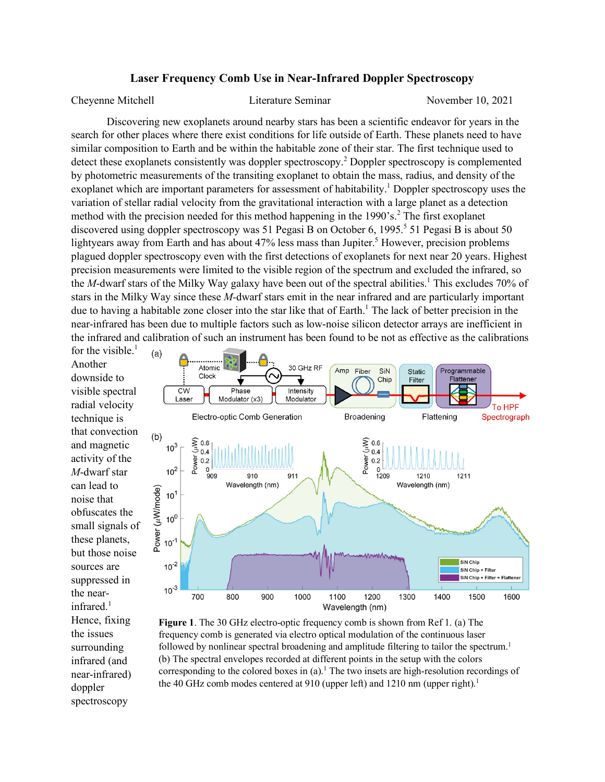## **Laser Frequency Comb Use in Near-Infrared Doppler Spectroscopy**

Cheyenne Mitchell Literature Seminar November 10, 2021

Discovering new exoplanets around nearby stars has been a scientific endeavor for years in the search for other places where there exist conditions for life outside of Earth. These planets need to have similar composition to Earth and be within the habitable zone of their star. The first technique used to detect these exoplanets consistently was doppler spectroscopy.<sup>2</sup> Doppler spectroscopy is complemented by photometric measurements of the transiting exoplanet to obtain the mass, radius, and density of the exoplanet which are important parameters for assessment of habitability.<sup>1</sup> Doppler spectroscopy uses the variation of stellar radial velocity from the gravitational interaction with a large planet as a detection method with the precision needed for this method happening in the  $1990$ 's.<sup>2</sup> The first exoplanet discovered using doppler spectroscopy was 51 Pegasi B on October 6, 1995.<sup>5</sup> 51 Pegasi B is about 50 lightyears away from Earth and has about 47% less mass than Jupiter.<sup>5</sup> However, precision problems plagued doppler spectroscopy even with the first detections of exoplanets for next near 20 years. Highest precision measurements were limited to the visible region of the spectrum and excluded the infrared, so the *M*-dwarf stars of the Milky Way galaxy have been out of the spectral abilities.<sup>1</sup> This excludes 70% of stars in the Milky Way since these *M-*dwarf stars emit in the near infrared and are particularly important due to having a habitable zone closer into the star like that of Earth.<sup>1</sup> The lack of better precision in the near-infrared has been due to multiple factors such as low-noise silicon detector arrays are inefficient in the infrared and calibration of such an instrument has been found to be not as effective as the calibrations

for the visible. $<sup>1</sup>$ </sup> Another downside to visible spectral radial velocity technique is that convection and magnetic activity of the *M*-dwarf star can lead to noise that obfuscates the small signals of these planets, but those noise sources are suppressed in the nearinfrared. $1$ Hence, fixing the issues surrounding infrared (and near-infrared) doppler spectroscopy



**Figure 1**. The 30 GHz electro-optic frequency comb is shown from Ref 1. (a) The frequency comb is generated via electro optical modulation of the continuous laser followed by nonlinear spectral broadening and amplitude filtering to tailor the spectrum.<sup>1</sup> (b) The spectral envelopes recorded at different points in the setup with the colors corresponding to the colored boxes in  $(a)$ .<sup>1</sup> The two insets are high-resolution recordings of the 40 GHz comb modes centered at 910 (upper left) and 1210 nm (upper right).<sup>1</sup>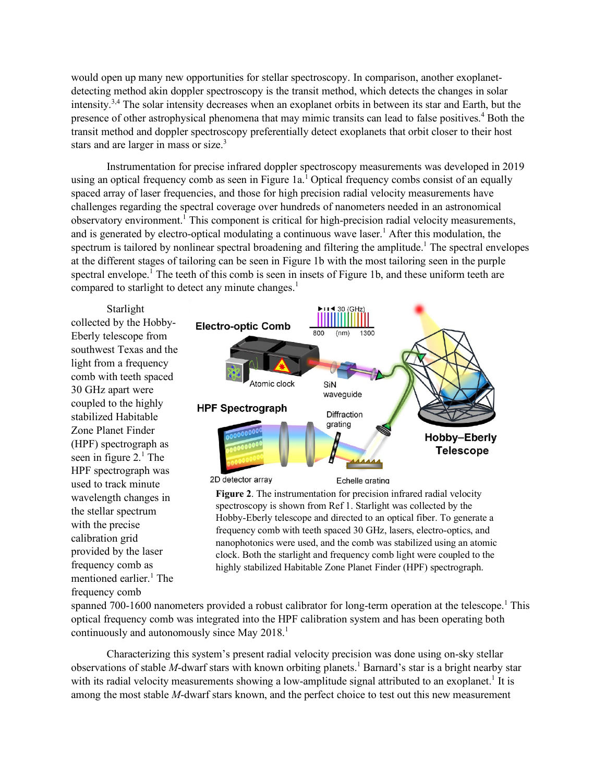would open up many new opportunities for stellar spectroscopy. In comparison, another exoplanetdetecting method akin doppler spectroscopy is the transit method, which detects the changes in solar intensity.3,4 The solar intensity decreases when an exoplanet orbits in between its star and Earth, but the presence of other astrophysical phenomena that may mimic transits can lead to false positives.<sup>4</sup> Both the transit method and doppler spectroscopy preferentially detect exoplanets that orbit closer to their host stars and are larger in mass or size.<sup>3</sup>

Instrumentation for precise infrared doppler spectroscopy measurements was developed in 2019 using an optical frequency comb as seen in Figure 1a.<sup>1</sup> Optical frequency combs consist of an equally spaced array of laser frequencies, and those for high precision radial velocity measurements have challenges regarding the spectral coverage over hundreds of nanometers needed in an astronomical observatory environment.<sup>1</sup> This component is critical for high-precision radial velocity measurements, and is generated by electro-optical modulating a continuous wave laser. <sup>1</sup> After this modulation, the spectrum is tailored by nonlinear spectral broadening and filtering the amplitude.<sup>1</sup> The spectral envelopes at the different stages of tailoring can be seen in Figure 1b with the most tailoring seen in the purple spectral envelope.<sup>1</sup> The teeth of this comb is seen in insets of Figure 1b, and these uniform teeth are compared to starlight to detect any minute changes.<sup>1</sup>

Starlight collected by the Hobby-Eberly telescope from southwest Texas and the light from a frequency comb with teeth spaced 30 GHz apart were coupled to the highly stabilized Habitable Zone Planet Finder (HPF) spectrograph as seen in figure 2. <sup>1</sup> The HPF spectrograph was used to track minute wavelength changes in the stellar spectrum with the precise calibration grid provided by the laser frequency comb as mentioned earlier. <sup>1</sup> The frequency comb



**Figure 2**. The instrumentation for precision infrared radial velocity spectroscopy is shown from Ref 1. Starlight was collected by the Hobby-Eberly telescope and directed to an optical fiber. To generate a frequency comb with teeth spaced 30 GHz, lasers, electro-optics, and

nanophotonics were used, and the comb was stabilized using an atomic clock. Both the starlight and frequency comb light were coupled to the highly stabilized Habitable Zone Planet Finder (HPF) spectrograph.

spanned 700-1600 nanometers provided a robust calibrator for long-term operation at the telescope.<sup>1</sup> This optical frequency comb was integrated into the HPF calibration system and has been operating both continuously and autonomously since May 2018.<sup>1</sup>

Characterizing this system's present radial velocity precision was done using on-sky stellar observations of stable *M*-dwarf stars with known orbiting planets.<sup>1</sup> Barnard's star is a bright nearby star with its radial velocity measurements showing a low-amplitude signal attributed to an exoplanet.<sup>1</sup> It is among the most stable *M*-dwarf stars known, and the perfect choice to test out this new measurement